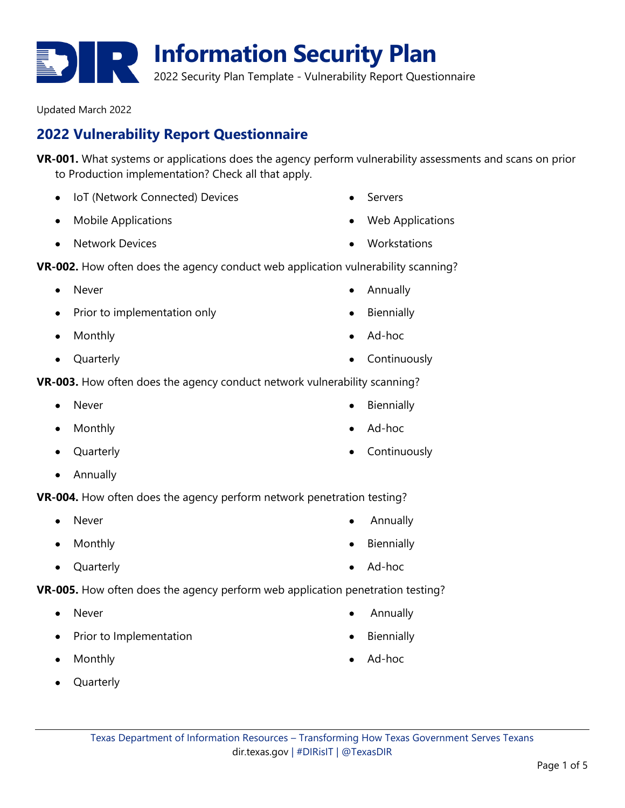**2022 Vulnerability Report Questionnaire**

Updated March 2022

**VR-001.** What systems or applications does the agency perform vulnerability assessments and scans on prior to Production implementation? Check all that apply.

- IoT (Network Connected) Devices
- Mobile Applications
- Network Devices

**VR-002.** How often does the agency conduct web application vulnerability scanning?

- Never
- Prior to implementation only
- Monthly
- Quarterly

**VR-003.** How often does the agency conduct network vulnerability scanning?

- **Never**
- Monthly
- Quarterly
- Annually

**VR-004.** How often does the agency perform network penetration testing?

- **Never**
- Monthly
- Quarterly

**VR-005.** How often does the agency perform web application penetration testing?

- Never
- Prior to Implementation
- Monthly
- Quarterly
- 
- Ad-hoc
- Continuously
- **Biennially**

• Annually

- Ad-hoc
- Annually
- **Biennially**
- Ad-hoc

**Information Security Plan** 2022 Security Plan Template - Vulnerability Report Questionnaire

- Servers
- Web Applications
- Workstations
- 
- - **Biennially**
	- Ad-hoc
	- Continuously



**Biennially**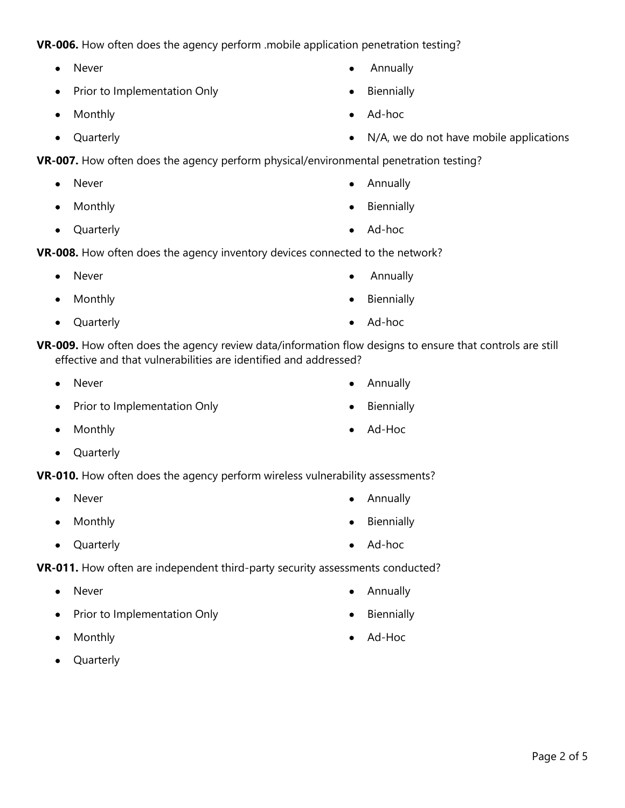Prior to Implementation Only

**VR-006.** How often does the agency perform .mobile application penetration testing?

• Monthly

• Never

• Quarterly

**VR-007.** How often does the agency perform physical/environmental penetration testing?

- Never
- Monthly
- Quarterly

**VR-008.** How often does the agency inventory devices connected to the network?

- Never
- Monthly
- Quarterly
- **VR-009.** How often does the agency review data/information flow designs to ensure that controls are still effective and that vulnerabilities are identified and addressed?
	- Never
	- Prior to Implementation Only
	- Monthly
	- Quarterly
- **VR-010.** How often does the agency perform wireless vulnerability assessments?
	- Never
	- Monthly
	- Quarterly
- **VR-011.** How often are independent third-party security assessments conducted?
	- Never
	- Prior to Implementation Only
	- Monthly
	- Quarterly
- Annually
- 
- Ad-Hoc
- 
- 
- Biennially
- 

• Annually

• Ad-hoc

• Annually

• Biennially

• Ad-Hoc

**Biennially** 

- Annually
- Biennially
- Ad-hoc
- N/A, we do not have mobile applications
- 
- 

- Annually
- 
- Biennially

• Ad-hoc

• Ad-hoc

**Biennially** 

• Annually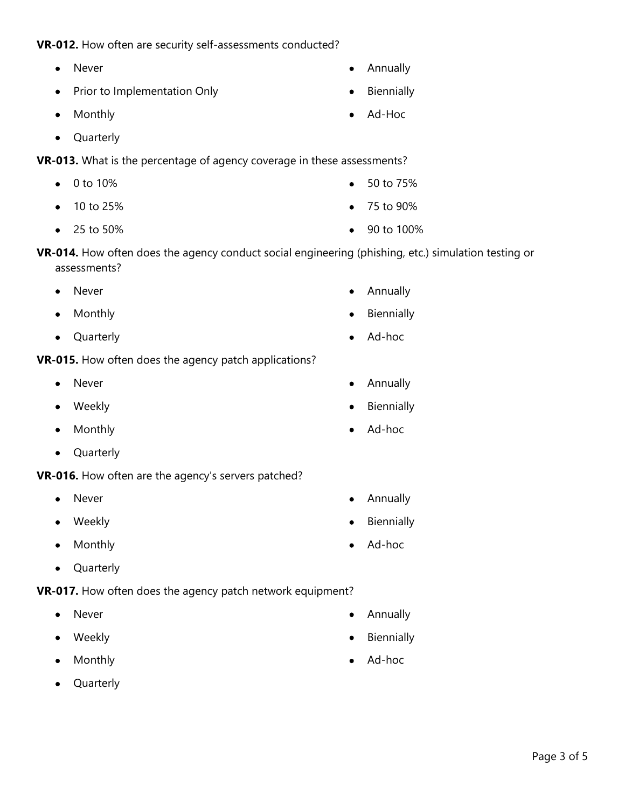## **VR-012.** How often are security self-assessments conducted?

- Never
- Prior to Implementation Only
- Monthly
- Quarterly

**VR-013.** What is the percentage of agency coverage in these assessments?

- 0 to 10% • 50 to 75%
- 10 to 25%
- 25 to 50%
- **VR-014.** How often does the agency conduct social engineering (phishing, etc.) simulation testing or assessments?
	- **Never**
	- Monthly
	- Quarterly
- **VR-015.** How often does the agency patch applications?
	- Never
	- Weekly
	- Monthly
	- Quarterly
- **VR-016.** How often are the agency's servers patched?
	- **Never**
	- Weekly
	- Monthly
	- Quarterly

**VR-017.** How often does the agency patch network equipment?

- Never
- Weekly
- Monthly
- Quarterly
- 
- 
- Annually
- Biennially
- Ad-hoc
- Annually
- **Biennially**
- Ad-hoc

• Annually

• Ad-hoc

**Biennially** 

- Annually
- **Biennially**
- Ad-Hoc
- 
- 75 to 90%
- 90 to 100%
- Annually
- **Biennially**
- Ad-hoc
-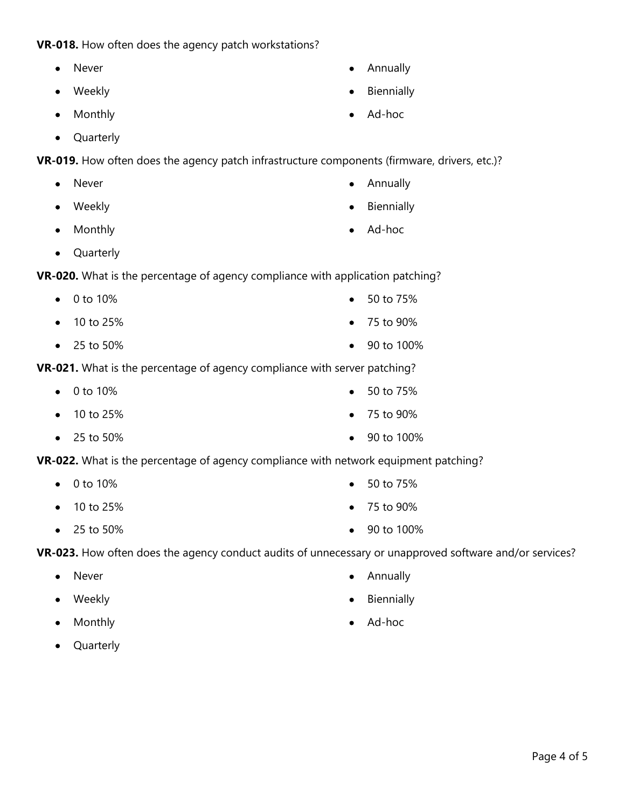## **VR-018.** How often does the agency patch workstations?

- Never
- Weekly
- Monthly
- Quarterly

**VR-019.** How often does the agency patch infrastructure components (firmware, drivers, etc.)?

- Never
- Weekly
- Monthly
- Quarterly

**VR-020.** What is the percentage of agency compliance with application patching?

- 0 to 10%
- 10 to 25%
- 25 to 50%

**VR-021.** What is the percentage of agency compliance with server patching?

- 0 to 10%
- 10 to 25%
- 25 to 50%

**VR-022.** What is the percentage of agency compliance with network equipment patching?

- 0 to 10%
- 10 to 25%
- 25 to 50%
- **VR-023.** How often does the agency conduct audits of unnecessary or unapproved software and/or services?
	- Never
	- Weekly
	- Monthly
	- Quarterly
- Annually
- **Biennially**
- Ad-hoc
- Annually
- **Biennially**
- Ad-hoc
- 50 to 75%
- 75 to 90%
- $90$  to  $100\%$
- 50 to 75%
- 75 to 90%
- 90 to 100%
- 50 to 75%
- 75 to 90%
- 90 to 100%
- Annually
- Biennially
- Ad-hoc